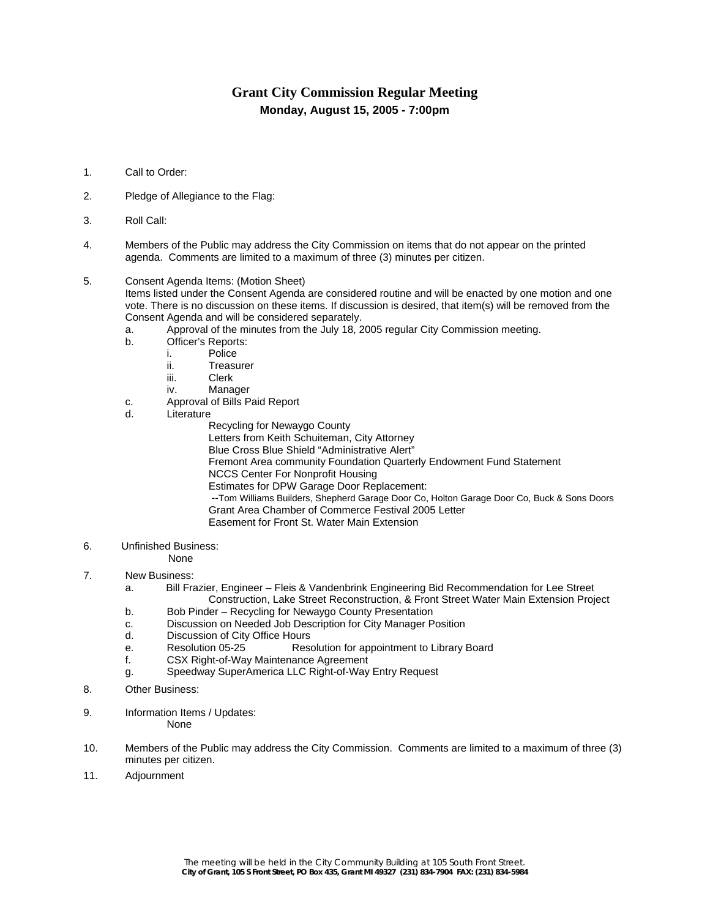## **Grant City Commission Regular Meeting Monday, August 15, 2005 - 7:00pm**

- 1. Call to Order:
- 2. Pledge of Allegiance to the Flag:
- 3. Roll Call:
- 4. Members of the Public may address the City Commission on items that do not appear on the printed agenda. Comments are limited to a maximum of three (3) minutes per citizen.
- 5. Consent Agenda Items: (Motion Sheet)

Items listed under the Consent Agenda are considered routine and will be enacted by one motion and one vote. There is no discussion on these items. If discussion is desired, that item(s) will be removed from the Consent Agenda and will be considered separately.

- a. Approval of the minutes from the July 18, 2005 regular City Commission meeting.
- b. Officer's Reports:
	- i. Police
		- ii. Treasurer
		- iii. Clerk
	- iv. Manager
- c. Approval of Bills Paid Report
- d. Literature
	- Recycling for Newaygo County
	- Letters from Keith Schuiteman, City Attorney
	- Blue Cross Blue Shield "Administrative Alert"
	- Fremont Area community Foundation Quarterly Endowment Fund Statement
		- NCCS Center For Nonprofit Housing
		- Estimates for DPW Garage Door Replacement:
		- --Tom Williams Builders, Shepherd Garage Door Co, Holton Garage Door Co, Buck & Sons Doors Grant Area Chamber of Commerce Festival 2005 Letter Easement for Front St. Water Main Extension
- 6. Unfinished Business:

None

- 7. New Business:
	- a. Bill Frazier, Engineer Fleis & Vandenbrink Engineering Bid Recommendation for Lee Street Construction, Lake Street Reconstruction, & Front Street Water Main Extension Project
	- b. Bob Pinder Recycling for Newaygo County Presentation
	- c. Discussion on Needed Job Description for City Manager Position
	- d. Discussion of City Office Hours
	- e. Resolution 05-25 Resolution for appointment to Library Board
	- f. CSX Right-of-Way Maintenance Agreement
	- g. Speedway SuperAmerica LLC Right-of-Way Entry Request
- 8. Other Business:
- 9. Information Items / Updates:

None

- 10. Members of the Public may address the City Commission. Comments are limited to a maximum of three (3) minutes per citizen.
- 11. Adjournment